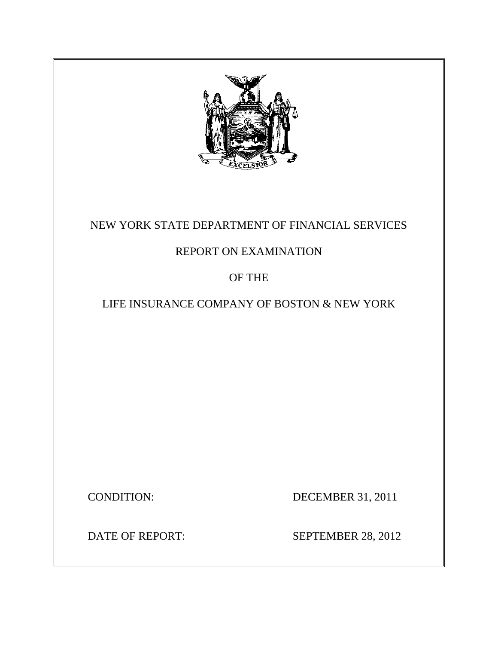

## NEW YORK STATE DEPARTMENT OF FINANCIAL SERVICES

## REPORT ON EXAMINATION

OF THE

LIFE INSURANCE COMPANY OF BOSTON & NEW YORK

CONDITION: DECEMBER 31, 2011

DATE OF REPORT:

SEPTEMBER 28, 2012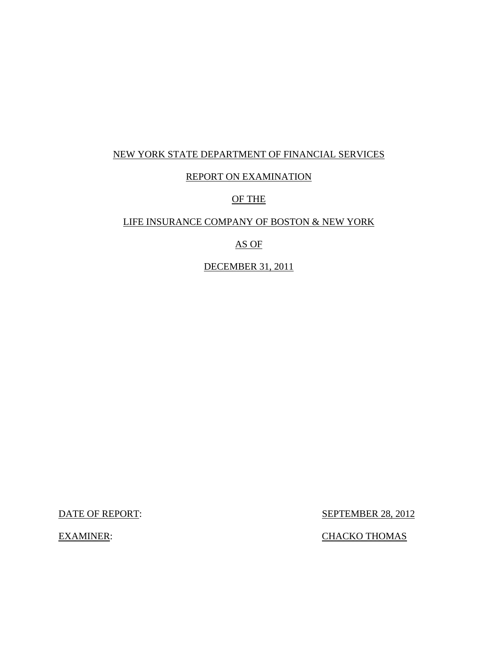## NEW YORK STATE DEPARTMENT OF FINANCIAL SERVICES

### REPORT ON EXAMINATION

## OF THE

## LIFE INSURANCE COMPANY OF BOSTON & NEW YORK

## AS OF

## DECEMBER 31, 2011

DATE OF REPORT:

**SEPTEMBER 28, 2012** 

EXAMINER: CHACKO THOMAS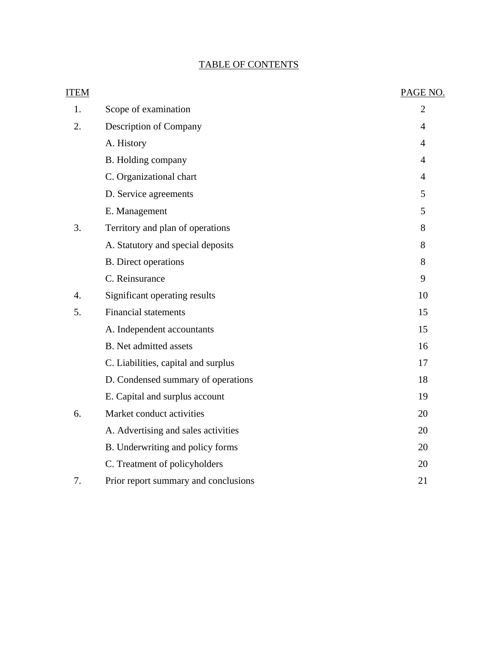## TABLE OF CONTENTS

| <b>ITEM</b>      |                                      | PAGE NO.       |
|------------------|--------------------------------------|----------------|
| 1.               | Scope of examination                 | $\overline{2}$ |
| 2.               | Description of Company               | $\overline{4}$ |
|                  | A. History                           | $\overline{4}$ |
|                  | B. Holding company                   | $\overline{4}$ |
|                  | C. Organizational chart              | $\overline{4}$ |
|                  | D. Service agreements                | 5              |
|                  | E. Management                        | 5              |
| 3.               | Territory and plan of operations     | 8              |
|                  | A. Statutory and special deposits    | 8              |
|                  | <b>B.</b> Direct operations          | 8              |
|                  | C. Reinsurance                       | 9              |
| $\overline{4}$ . | Significant operating results        | 10             |
| 5.               | <b>Financial statements</b>          | 15             |
|                  | A. Independent accountants           | 15             |
|                  | <b>B.</b> Net admitted assets        | 16             |
|                  | C. Liabilities, capital and surplus  | 17             |
|                  | D. Condensed summary of operations   | 18             |
|                  | E. Capital and surplus account       | 19             |
| 6.               | Market conduct activities            | 20             |
|                  | A. Advertising and sales activities  | 20             |
|                  | B. Underwriting and policy forms     | 20             |
|                  | C. Treatment of policyholders        | 20             |
| 7.               | Prior report summary and conclusions | 21             |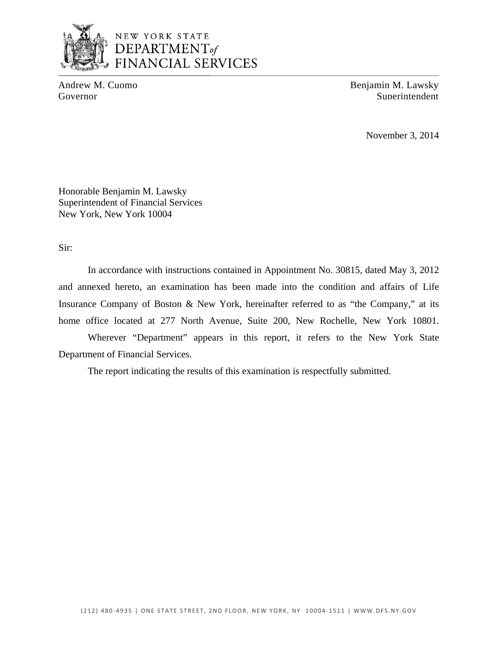

Andrew M. Cuomo Benjamin M. Lawsky Governor Superintendent Superintendent Superintendent Superintendent Superintendent

November 3, 2014

Honorable Benjamin M. Lawsky Superintendent of Financial Services New York, New York 10004

Sir:

In accordance with instructions contained in Appointment No. 30815, dated May 3, 2012 and annexed hereto, an examination has been made into the condition and affairs of Life Insurance Company of Boston & New York, hereinafter referred to as "the Company," at its home office located at 277 North Avenue, Suite 200, New Rochelle, New York 10801.

Wherever "Department" appears in this report, it refers to the New York State Department of Financial Services.

The report indicating the results of this examination is respectfully submitted.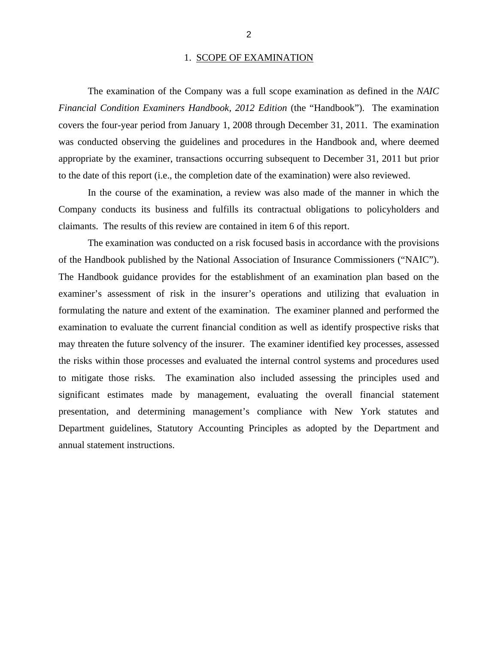### 1. SCOPE OF EXAMINATION

<span id="page-4-0"></span>The examination of the Company was a full scope examination as defined in the *NAIC Financial Condition Examiners Handbook, 2012 Edition* (the "Handbook"). The examination covers the four-year period from January 1, 2008 through December 31, 2011. The examination was conducted observing the guidelines and procedures in the Handbook and, where deemed appropriate by the examiner, transactions occurring subsequent to December 31, 2011 but prior to the date of this report (i.e., the completion date of the examination) were also reviewed.

In the course of the examination, a review was also made of the manner in which the Company conducts its business and fulfills its contractual obligations to policyholders and claimants. The results of this review are contained in item 6 of this report.

The examination was conducted on a risk focused basis in accordance with the provisions of the Handbook published by the National Association of Insurance Commissioners ("NAIC"). The Handbook guidance provides for the establishment of an examination plan based on the examiner's assessment of risk in the insurer's operations and utilizing that evaluation in formulating the nature and extent of the examination. The examiner planned and performed the examination to evaluate the current financial condition as well as identify prospective risks that may threaten the future solvency of the insurer. The examiner identified key processes, assessed the risks within those processes and evaluated the internal control systems and procedures used to mitigate those risks. The examination also included assessing the principles used and significant estimates made by management, evaluating the overall financial statement presentation, and determining management's compliance with New York statutes and Department guidelines, Statutory Accounting Principles as adopted by the Department and annual statement instructions.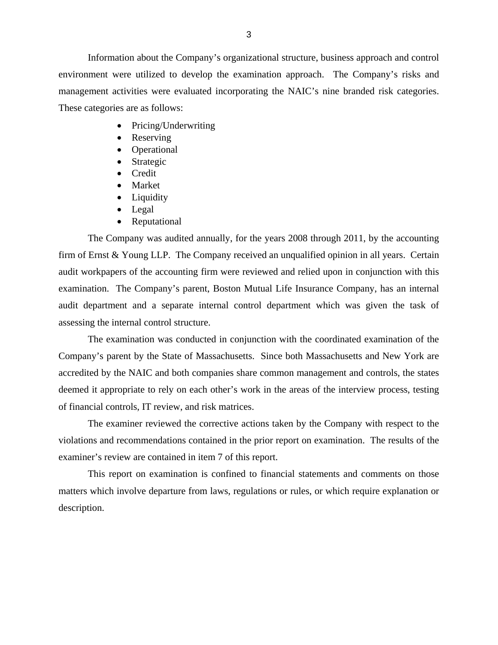Information about the Company's organizational structure, business approach and control environment were utilized to develop the examination approach. The Company's risks and management activities were evaluated incorporating the NAIC's nine branded risk categories. These categories are as follows:

- Pricing/Underwriting
- Reserving
- Operational
- Strategic
- Credit
- Market
- Liquidity
- Legal
- Reputational

The Company was audited annually, for the years 2008 through 2011, by the accounting firm of Ernst & Young LLP. The Company received an unqualified opinion in all years. Certain audit workpapers of the accounting firm were reviewed and relied upon in conjunction with this examination. The Company's parent, Boston Mutual Life Insurance Company, has an internal audit department and a separate internal control department which was given the task of assessing the internal control structure.

The examination was conducted in conjunction with the coordinated examination of the Company's parent by the State of Massachusetts. Since both Massachusetts and New York are accredited by the NAIC and both companies share common management and controls, the states deemed it appropriate to rely on each other's work in the areas of the interview process, testing of financial controls, IT review, and risk matrices.

The examiner reviewed the corrective actions taken by the Company with respect to the violations and recommendations contained in the prior report on examination. The results of the examiner's review are contained in item 7 of this report.

This report on examination is confined to financial statements and comments on those matters which involve departure from laws, regulations or rules, or which require explanation or description.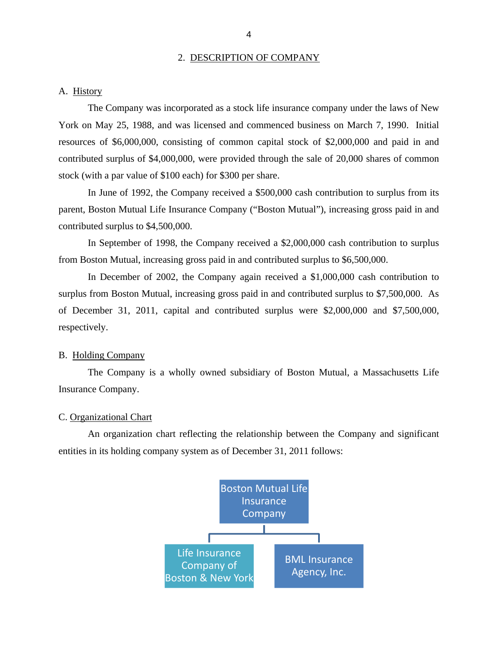#### 2. DESCRIPTION OF COMPANY

<span id="page-6-0"></span>A. History

The Company was incorporated as a stock life insurance company under the laws of New York on May 25, 1988, and was licensed and commenced business on March 7, 1990. Initial resources of \$6,000,000, consisting of common capital stock of \$2,000,000 and paid in and contributed surplus of \$4,000,000, were provided through the sale of 20,000 shares of common stock (with a par value of \$100 each) for \$300 per share.

In June of 1992, the Company received a \$500,000 cash contribution to surplus from its parent, Boston Mutual Life Insurance Company ("Boston Mutual"), increasing gross paid in and contributed surplus to \$4,500,000.

In September of 1998, the Company received a \$2,000,000 cash contribution to surplus from Boston Mutual, increasing gross paid in and contributed surplus to \$6,500,000.

In December of 2002, the Company again received a \$1,000,000 cash contribution to surplus from Boston Mutual, increasing gross paid in and contributed surplus to \$7,500,000. As of December 31, 2011, capital and contributed surplus were \$2,000,000 and \$7,500,000, respectively.

#### B. Holding Company

The Company is a wholly owned subsidiary of Boston Mutual, a Massachusetts Life Insurance Company.

#### C. Organizational Chart

An organization chart reflecting the relationship between the Company and significant entities in its holding company system as of December 31, 2011 follows:

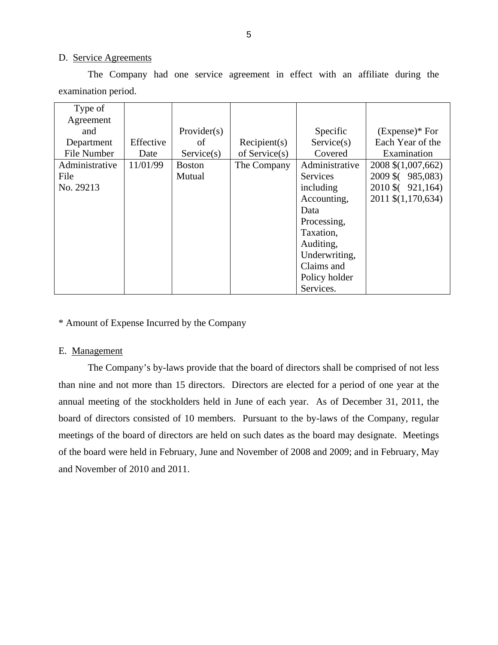#### D. Service Agreements

The Company had one service agreement in effect with an affiliate during the examination period.

| Type of        |           |               |                  |                 |                    |
|----------------|-----------|---------------|------------------|-----------------|--------------------|
| Agreement      |           |               |                  |                 |                    |
| and            |           | Provider(s)   |                  | Specific        | $(Express)*For$    |
| Department     | Effective | of            | Recipient(s)     | Service(s)      | Each Year of the   |
| File Number    | Date      | Service(s)    | of Service $(s)$ | Covered         | Examination        |
| Administrative | 11/01/99  | <b>Boston</b> | The Company      | Administrative  | 2008 \$(1,007,662) |
| File           |           | Mutual        |                  | <b>Services</b> | 2009 \$ (985,083)  |
| No. 29213      |           |               |                  | including       | 2010 \$ (921,164)  |
|                |           |               |                  | Accounting,     | 2011 \$(1,170,634) |
|                |           |               |                  | Data            |                    |
|                |           |               |                  | Processing,     |                    |
|                |           |               |                  | Taxation,       |                    |
|                |           |               |                  | Auditing,       |                    |
|                |           |               |                  | Underwriting,   |                    |
|                |           |               |                  | Claims and      |                    |
|                |           |               |                  | Policy holder   |                    |
|                |           |               |                  | Services.       |                    |

\* Amount of Expense Incurred by the Company

#### E. Management

The Company's by-laws provide that the board of directors shall be comprised of not less than nine and not more than 15 directors. Directors are elected for a period of one year at the annual meeting of the stockholders held in June of each year. As of December 31, 2011, the board of directors consisted of 10 members. Pursuant to the by-laws of the Company, regular meetings of the board of directors are held on such dates as the board may designate. Meetings of the board were held in February, June and November of 2008 and 2009; and in February, May and November of 2010 and 2011.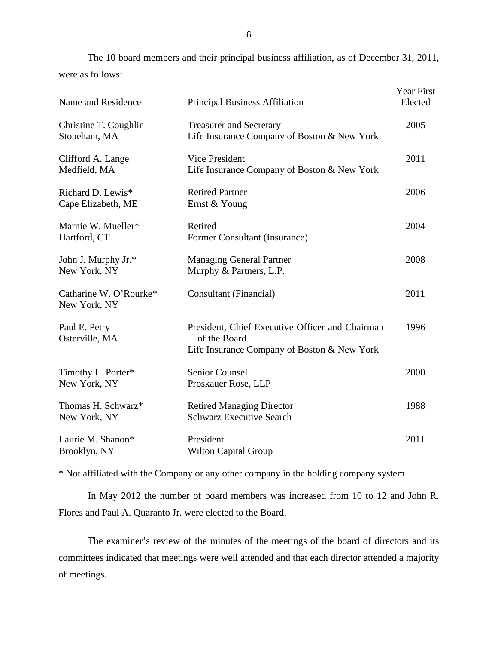The 10 board members and their principal business affiliation, as of December 31, 2011, were as follows:

| Name and Residence                      | <b>Principal Business Affiliation</b>                                                                          | Year First<br>Elected |
|-----------------------------------------|----------------------------------------------------------------------------------------------------------------|-----------------------|
| Christine T. Coughlin<br>Stoneham, MA   | <b>Treasurer and Secretary</b><br>Life Insurance Company of Boston & New York                                  | 2005                  |
| Clifford A. Lange<br>Medfield, MA       | <b>Vice President</b><br>Life Insurance Company of Boston & New York                                           | 2011                  |
| Richard D. Lewis*<br>Cape Elizabeth, ME | <b>Retired Partner</b><br>Ernst & Young                                                                        | 2006                  |
| Marnie W. Mueller*<br>Hartford, CT      | Retired<br>Former Consultant (Insurance)                                                                       | 2004                  |
| John J. Murphy Jr.*<br>New York, NY     | <b>Managing General Partner</b><br>Murphy & Partners, L.P.                                                     | 2008                  |
| Catharine W. O'Rourke*<br>New York, NY  | Consultant (Financial)                                                                                         | 2011                  |
| Paul E. Petry<br>Osterville, MA         | President, Chief Executive Officer and Chairman<br>of the Board<br>Life Insurance Company of Boston & New York | 1996                  |
| Timothy L. Porter*<br>New York, NY      | <b>Senior Counsel</b><br>Proskauer Rose, LLP                                                                   | 2000                  |
| Thomas H. Schwarz*<br>New York, NY      | <b>Retired Managing Director</b><br><b>Schwarz Executive Search</b>                                            | 1988                  |
| Laurie M. Shanon*<br>Brooklyn, NY       | President<br><b>Wilton Capital Group</b>                                                                       | 2011                  |

\* Not affiliated with the Company or any other company in the holding company system

In May 2012 the number of board members was increased from 10 to 12 and John R. Flores and Paul A. Quaranto Jr. were elected to the Board.

The examiner's review of the minutes of the meetings of the board of directors and its committees indicated that meetings were well attended and that each director attended a majority of meetings.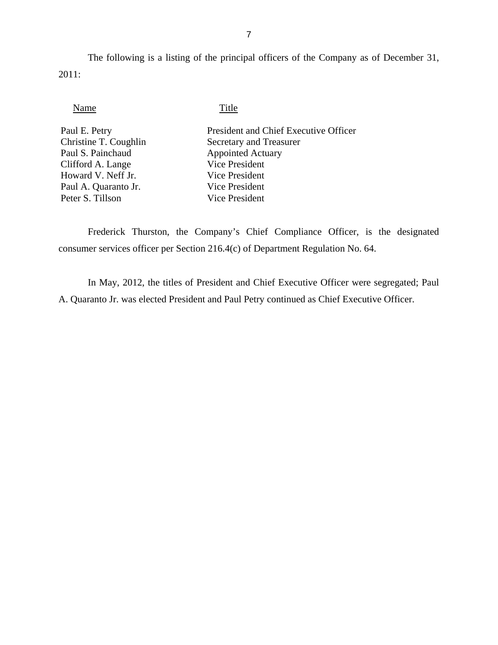The following is a listing of the principal officers of the Company as of December 31, 2011:

### Name Title

| Paul E. Petry         | President and Chief Executive Officer |
|-----------------------|---------------------------------------|
| Christine T. Coughlin | Secretary and Treasurer               |
| Paul S. Painchaud     | <b>Appointed Actuary</b>              |
| Clifford A. Lange     | <b>Vice President</b>                 |
| Howard V. Neff Jr.    | Vice President                        |
| Paul A. Quaranto Jr.  | Vice President                        |
| Peter S. Tillson      | <b>Vice President</b>                 |
|                       |                                       |

Frederick Thurston, the Company's Chief Compliance Officer, is the designated consumer services officer per Section 216.4(c) of Department Regulation No. 64.

In May, 2012, the titles of President and Chief Executive Officer were segregated; Paul A. Quaranto Jr. was elected President and Paul Petry continued as Chief Executive Officer.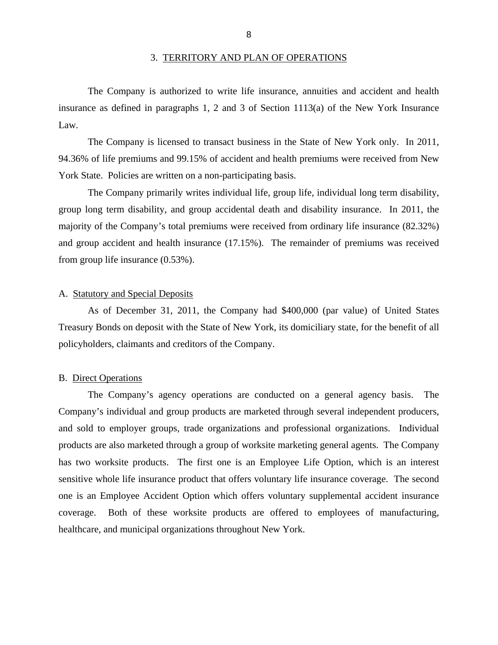#### 3. TERRITORY AND PLAN OF OPERATIONS

<span id="page-10-0"></span>The Company is authorized to write life insurance, annuities and accident and health insurance as defined in paragraphs 1, 2 and 3 of Section 1113(a) of the New York Insurance Law.

York State. Policies are written on a non-participating basis. The Company is licensed to transact business in the State of New York only. In 2011, 94.36% of life premiums and 99.15% of accident and health premiums were received from New

The Company primarily writes individual life, group life, individual long term disability, group long term disability, and group accidental death and disability insurance. In 2011, the majority of the Company's total premiums were received from ordinary life insurance (82.32%) and group accident and health insurance (17.15%). The remainder of premiums was received from group life insurance (0.53%).

#### A. Statutory and Special Deposits

As of December 31, 2011, the Company had \$400,000 (par value) of United States Treasury Bonds on deposit with the State of New York, its domiciliary state, for the benefit of all policyholders, claimants and creditors of the Company.

#### B. Direct Operations

The Company's agency operations are conducted on a general agency basis. The Company's individual and group products are marketed through several independent producers, and sold to employer groups, trade organizations and professional organizations. Individual products are also marketed through a group of worksite marketing general agents. The Company has two worksite products. The first one is an Employee Life Option, which is an interest sensitive whole life insurance product that offers voluntary life insurance coverage. The second one is an Employee Accident Option which offers voluntary supplemental accident insurance coverage. Both of these worksite products are offered to employees of manufacturing, healthcare, and municipal organizations throughout New York.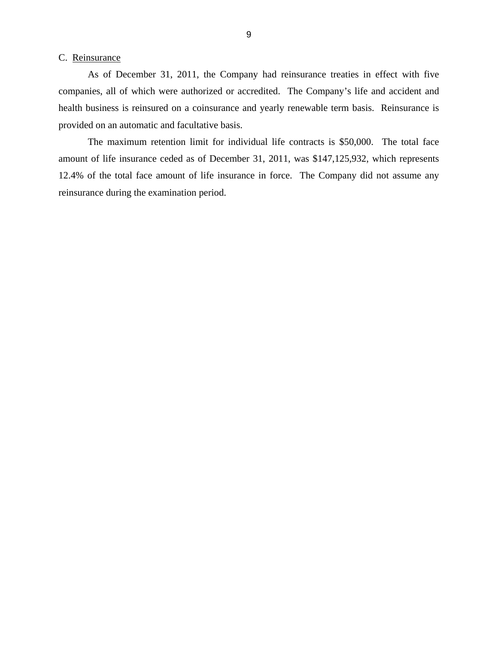#### <span id="page-11-0"></span>C. Reinsurance

As of December 31, 2011, the Company had reinsurance treaties in effect with five companies, all of which were authorized or accredited. The Company's life and accident and health business is reinsured on a coinsurance and yearly renewable term basis. Reinsurance is provided on an automatic and facultative basis.

The maximum retention limit for individual life contracts is \$50,000. The total face amount of life insurance ceded as of December 31, 2011, was \$147,125,932, which represents 12.4% of the total face amount of life insurance in force. The Company did not assume any reinsurance during the examination period.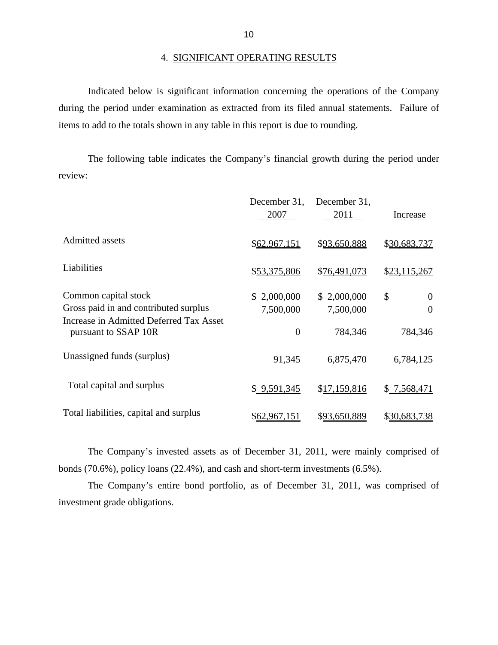Indicated below is significant information concerning the operations of the Company during the period under examination as extracted from its filed annual statements. Failure of items to add to the totals shown in any table in this report is due to rounding.

The following table indicates the Company's financial growth during the period under review:

|                                                                                                                                  | December 31,<br>2007                       | December 31,<br>2011                | Increase                              |
|----------------------------------------------------------------------------------------------------------------------------------|--------------------------------------------|-------------------------------------|---------------------------------------|
| <b>Admitted</b> assets                                                                                                           | \$62,967,151                               | \$93,650,888                        | \$30,683,737                          |
| Liabilities                                                                                                                      | \$53,375,806                               | \$76,491,073                        | \$23,115,267                          |
| Common capital stock<br>Gross paid in and contributed surplus<br>Increase in Admitted Deferred Tax Asset<br>pursuant to SSAP 10R | \$2,000,000<br>7,500,000<br>$\overline{0}$ | \$2,000,000<br>7,500,000<br>784,346 | \$<br>$\theta$<br>$\theta$<br>784,346 |
| Unassigned funds (surplus)                                                                                                       | 91,345                                     | 6,875,470                           | 6,784,125                             |
| Total capital and surplus                                                                                                        | \$9,591,345                                | \$17,159,816                        | \$7,568,471                           |
| Total liabilities, capital and surplus                                                                                           | \$62,967,151                               | \$93,650,889                        | \$30,683,738                          |

The Company's invested assets as of December 31, 2011, were mainly comprised of bonds (70.6%), policy loans (22.4%), and cash and short-term investments (6.5%).

The Company's entire bond portfolio, as of December 31, 2011, was comprised of investment grade obligations.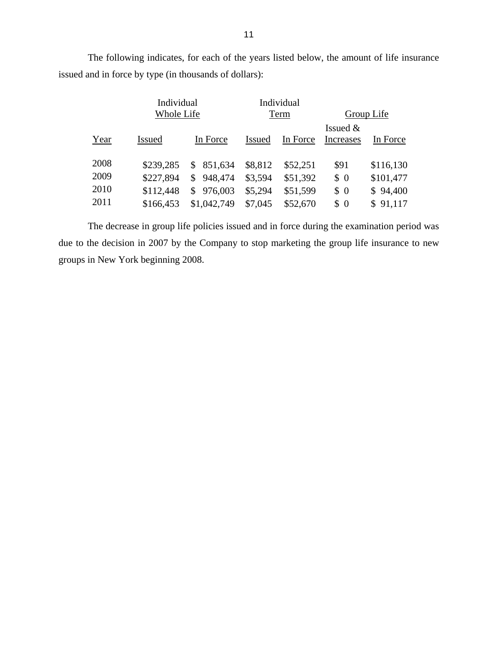The following indicates, for each of the years listed below, the amount of life insurance issued and in force by type (in thousands of dollars):

|              | Individual<br>Whole Life |                                            | Individual<br>Term |                      | Group Life              |                        |
|--------------|--------------------------|--------------------------------------------|--------------------|----------------------|-------------------------|------------------------|
| Year         | <b>Issued</b>            | In Force                                   | <b>Issued</b>      | In Force             | Issued $&$<br>Increases | In Force               |
| 2008<br>2009 | \$239,285<br>\$227,894   | 851,634<br>\$<br>948,474<br>$\mathbb{S}^-$ | \$8,812<br>\$3,594 | \$52,251<br>\$51,392 | \$91<br>\$0             | \$116,130<br>\$101,477 |
| 2010<br>2011 | \$112,448<br>\$166,453   | 976,003<br>\$.<br>\$1,042,749              | \$5,294<br>\$7,045 | \$51,599<br>\$52,670 | \$0<br>\$0              | \$94,400<br>\$91,117   |

The decrease in group life policies issued and in force during the examination period was due to the decision in 2007 by the Company to stop marketing the group life insurance to new groups in New York beginning 2008.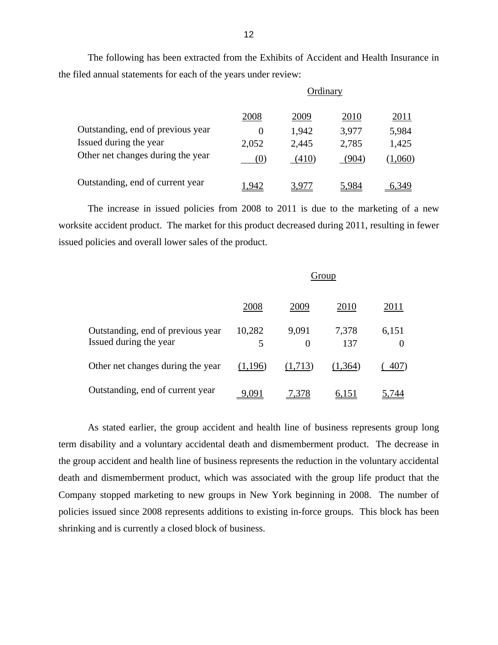The following has been extracted from the Exhibits of Accident and Health Insurance in the filed annual statements for each of the years under review:

|                                   | Ordinary |       |       |         |
|-----------------------------------|----------|-------|-------|---------|
|                                   | 2008     | 2009  | 2010  | 2011    |
| Outstanding, end of previous year | $\theta$ | 1,942 | 3,977 | 5,984   |
| Issued during the year            | 2,052    | 2,445 | 2,785 | 1,425   |
| Other net changes during the year | (0)      | (410) | (904) | (1,060) |
| Outstanding, end of current year  | .942     |       | 5.984 | 6.349   |

The increase in issued policies from 2008 to 2011 is due to the marketing of a new worksite accident product. The market for this product decreased during 2011, resulting in fewer issued policies and overall lower sales of the product.

|                                                             | Group       |            |              |                   |
|-------------------------------------------------------------|-------------|------------|--------------|-------------------|
|                                                             | 2008        | 2009       | 2010         | 2011              |
| Outstanding, end of previous year<br>Issued during the year | 10,282<br>5 | 9,091<br>0 | 7,378<br>137 | 6,151<br>$\theta$ |
| Other net changes during the year                           | (1,196)     | (1,713)    | (1,364)      | 407)              |
| Outstanding, end of current year                            | 9,091       | 7,378      | <u>6,151</u> |                   |

As stated earlier, the group accident and health line of business represents group long term disability and a voluntary accidental death and dismemberment product. The decrease in the group accident and health line of business represents the reduction in the voluntary accidental death and dismemberment product, which was associated with the group life product that the Company stopped marketing to new groups in New York beginning in 2008. The number of policies issued since 2008 represents additions to existing in-force groups. This block has been shrinking and is currently a closed block of business.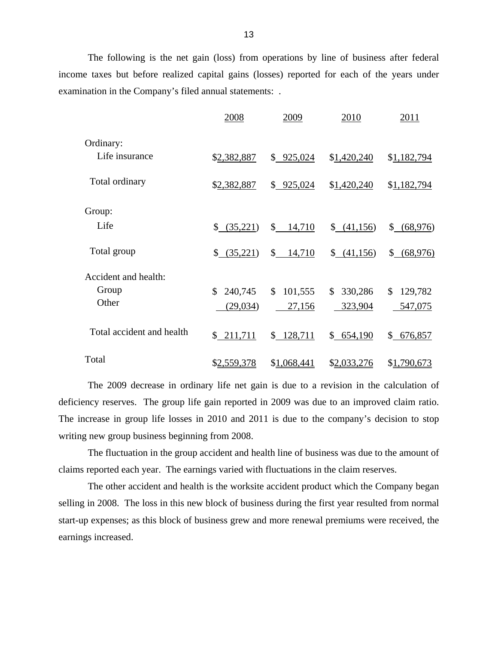The following is the net gain (loss) from operations by line of business after federal income taxes but before realized capital gains (losses) reported for each of the years under examination in the Company's filed annual statements: .

|                           | 2008          | 2009                   | 2010          | 2011          |
|---------------------------|---------------|------------------------|---------------|---------------|
| Ordinary:                 |               |                        |               |               |
| Life insurance            | \$2,382,887   | \$925,024              | \$1,420,240   | \$1,182,794   |
| Total ordinary            | \$2,382,887   | \$925,024              | \$1,420,240   | \$1,182,794   |
| Group:                    |               |                        |               |               |
| Life                      | \$ (35,221)   | $\mathbb{S}$<br>14,710 | (41,156)      | \$68,976      |
| Total group               | \$ (35,221)   | \$<br>14,710           | \$ (41,156)   | $$$ (68,976)  |
| Accident and health:      |               |                        |               |               |
| Group                     | \$<br>240,745 | 101,555<br>\$          | \$<br>330,286 | \$<br>129,782 |
| Other                     | (29, 034)     | 27,156                 | 323,904       | 547,075       |
| Total accident and health | \$211,711     | \$128,711              | \$654,190     | \$676,857     |
| Total                     | \$2,559,378   | \$1,068,441            | \$2,033,276   | \$1,790,673   |

The 2009 decrease in ordinary life net gain is due to a revision in the calculation of deficiency reserves. The group life gain reported in 2009 was due to an improved claim ratio. The increase in group life losses in 2010 and 2011 is due to the company's decision to stop writing new group business beginning from 2008.

The fluctuation in the group accident and health line of business was due to the amount of claims reported each year. The earnings varied with fluctuations in the claim reserves.

The other accident and health is the worksite accident product which the Company began selling in 2008. The loss in this new block of business during the first year resulted from normal start-up expenses; as this block of business grew and more renewal premiums were received, the earnings increased.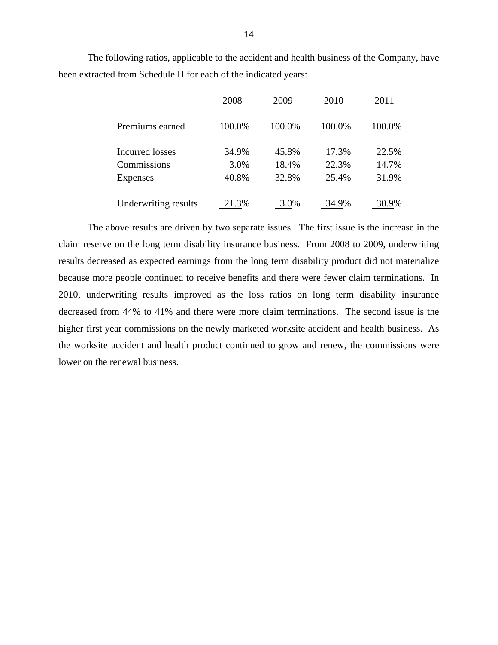The following ratios, applicable to the accident and health business of the Company, have been extracted from Schedule H for each of the indicated years:

|                        | 2008   | 2009    | 2010         | 2011         |
|------------------------|--------|---------|--------------|--------------|
| Premiums earned        | 100.0% | 100.0%  | 100.0%       | 100.0%       |
| <b>Incurred</b> losses | 34.9%  | 45.8%   | 17.3%        | 22.5%        |
| Commissions            | 3.0%   | 18.4%   | 22.3%        | 14.7%        |
| Expenses               | 40.8%  | 32.8%   | 25.4%        | 31.9%        |
| Underwriting results   | 21.3%  | $3.0\%$ | <u>34.9%</u> | <u>30.9%</u> |

The above results are driven by two separate issues. The first issue is the increase in the claim reserve on the long term disability insurance business. From 2008 to 2009, underwriting results decreased as expected earnings from the long term disability product did not materialize because more people continued to receive benefits and there were fewer claim terminations. In 2010, underwriting results improved as the loss ratios on long term disability insurance decreased from 44% to 41% and there were more claim terminations. The second issue is the higher first year commissions on the newly marketed worksite accident and health business. As the worksite accident and health product continued to grow and renew, the commissions were lower on the renewal business.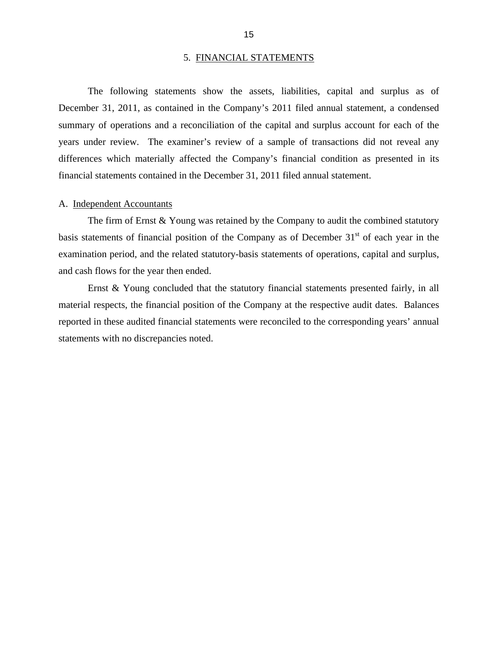#### 5. FINANCIAL STATEMENTS

<span id="page-17-0"></span>The following statements show the assets, liabilities, capital and surplus as of December 31, 2011, as contained in the Company's 2011 filed annual statement, a condensed summary of operations and a reconciliation of the capital and surplus account for each of the years under review. The examiner's review of a sample of transactions did not reveal any differences which materially affected the Company's financial condition as presented in its financial statements contained in the December 31, 2011 filed annual statement.

#### A. Independent Accountants

The firm of Ernst & Young was retained by the Company to audit the combined statutory basis statements of financial position of the Company as of December  $31<sup>st</sup>$  of each year in the examination period, and the related statutory-basis statements of operations, capital and surplus, and cash flows for the year then ended.

Ernst & Young concluded that the statutory financial statements presented fairly, in all material respects, the financial position of the Company at the respective audit dates. Balances reported in these audited financial statements were reconciled to the corresponding years' annual statements with no discrepancies noted.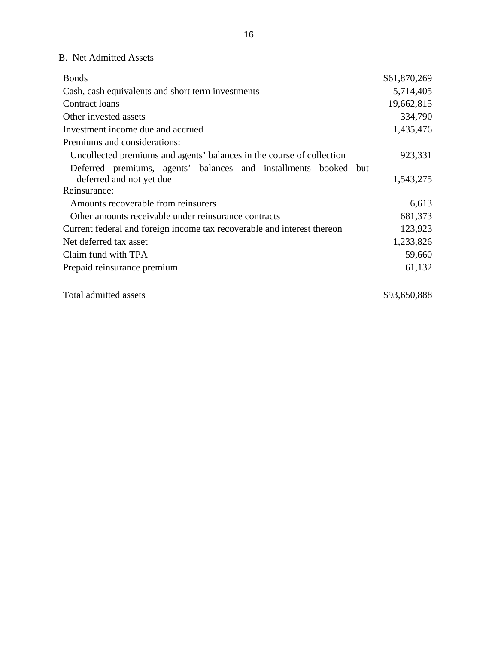## B. Net Admitted Assets

| <b>Bonds</b>                                                            | \$61,870,269 |
|-------------------------------------------------------------------------|--------------|
| Cash, cash equivalents and short term investments                       | 5,714,405    |
| Contract loans                                                          | 19,662,815   |
| Other invested assets                                                   | 334,790      |
| Investment income due and accrued                                       | 1,435,476    |
| Premiums and considerations:                                            |              |
| Uncollected premiums and agents' balances in the course of collection   | 923,331      |
| Deferred premiums, agents' balances and installments booked but         |              |
| deferred and not yet due                                                | 1,543,275    |
| Reinsurance:                                                            |              |
| Amounts recoverable from reinsurers                                     | 6,613        |
| Other amounts receivable under reinsurance contracts                    | 681,373      |
| Current federal and foreign income tax recoverable and interest thereon | 123,923      |
| Net deferred tax asset                                                  | 1,233,826    |
| Claim fund with TPA                                                     | 59,660       |
| Prepaid reinsurance premium                                             | 61,132       |
|                                                                         |              |

Total admitted assets  $$93,650,888$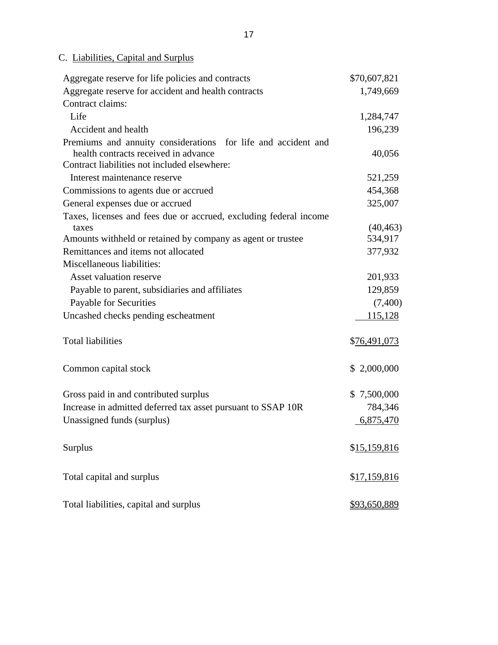## C. Liabilities, Capital and Surplus

| Aggregate reserve for life policies and contracts                                    | \$70,607,821         |
|--------------------------------------------------------------------------------------|----------------------|
| Aggregate reserve for accident and health contracts                                  | 1,749,669            |
| Contract claims:                                                                     |                      |
| Life                                                                                 | 1,284,747            |
| Accident and health                                                                  | 196,239              |
| Premiums and annuity considerations for life and accident and                        |                      |
| health contracts received in advance<br>Contract liabilities not included elsewhere: | 40,056               |
| Interest maintenance reserve                                                         | 521,259              |
| Commissions to agents due or accrued                                                 | 454,368              |
| General expenses due or accrued                                                      | 325,007              |
| Taxes, licenses and fees due or accrued, excluding federal income                    |                      |
| taxes                                                                                | (40, 463)            |
| Amounts withheld or retained by company as agent or trustee                          | 534,917              |
| Remittances and items not allocated                                                  | 377,932              |
| Miscellaneous liabilities:                                                           |                      |
| <b>Asset valuation reserve</b>                                                       | 201,933              |
| Payable to parent, subsidiaries and affiliates                                       | 129,859              |
| Payable for Securities                                                               | (7,400)              |
| Uncashed checks pending escheatment                                                  | <u>115,128</u>       |
| <b>Total liabilities</b>                                                             | \$76,491,073         |
| Common capital stock                                                                 | \$2,000,000          |
| Gross paid in and contributed surplus                                                | \$7,500,000          |
| Increase in admitted deferred tax asset pursuant to SSAP 10R                         | 784,346              |
| Unassigned funds (surplus)                                                           | 6,875,470            |
| Surplus                                                                              | \$ <u>15,159,816</u> |
| Total capital and surplus                                                            | \$17,159,816         |
| Total liabilities, capital and surplus                                               | \$93,650,889         |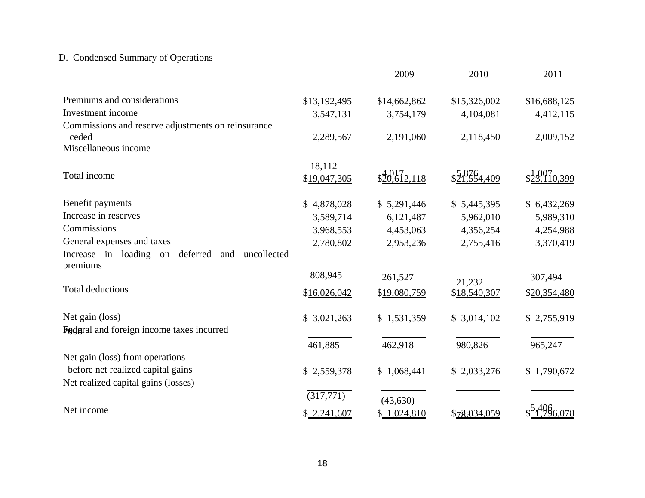## D. Condensed Summary of Operations

|                                                                      |                        | 2009                  | 2010         | 2011                 |
|----------------------------------------------------------------------|------------------------|-----------------------|--------------|----------------------|
| Premiums and considerations                                          | \$13,192,495           | \$14,662,862          | \$15,326,002 | \$16,688,125         |
| Investment income                                                    | 3,547,131              | 3,754,179             | 4,104,081    | 4,412,115            |
| Commissions and reserve adjustments on reinsurance<br>ceded          | 2,289,567              | 2,191,060             | 2,118,450    | 2,009,152            |
| Miscellaneous income                                                 |                        |                       |              |                      |
| Total income                                                         | 18,112<br>\$19,047,305 | $\frac{401}{612,118}$ | \$21,554,409 | $\frac{1007}{0.399}$ |
| Benefit payments                                                     | \$4,878,028            | \$5,291,446           | \$5,445,395  | \$6,432,269          |
| Increase in reserves                                                 | 3,589,714              | 6,121,487             | 5,962,010    | 5,989,310            |
| Commissions                                                          | 3,968,553              | 4,453,063             | 4,356,254    | 4,254,988            |
| General expenses and taxes                                           | 2,780,802              | 2,953,236             | 2,755,416    | 3,370,419            |
| Increase in loading on<br>deferred<br>uncollected<br>and<br>premiums |                        |                       |              |                      |
|                                                                      | 808,945                | 261,527               | 21,232       | 307,494              |
| <b>Total deductions</b>                                              | \$16,026,042           | \$19,080,759          | \$18,540,307 | \$20,354,480         |
| Net gain (loss)                                                      | \$3,021,263            | \$1,531,359           | \$3,014,102  | \$2,755,919          |
| <b>Ender</b> al and foreign income taxes incurred                    |                        |                       |              |                      |
|                                                                      | 461,885                | 462,918               | 980,826      | 965,247              |
| Net gain (loss) from operations                                      |                        |                       |              |                      |
| before net realized capital gains                                    | \$2,559,378            | \$1,068,441           | \$2,033,276  | \$1,790,672          |
| Net realized capital gains (losses)                                  |                        |                       |              |                      |
|                                                                      | $\overline{(317,771)}$ | (43, 630)             |              |                      |
| Net income                                                           | \$2,241,607            | \$1,024,810           | \$78,034,059 | <sup>449</sup> 6.078 |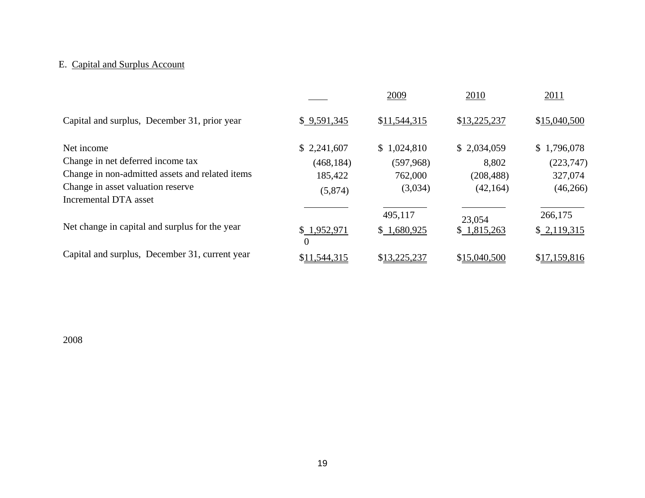## E. Capital and Surplus Account

|                                                            |                               | 2009         | 2010         | 2011         |
|------------------------------------------------------------|-------------------------------|--------------|--------------|--------------|
| Capital and surplus, December 31, prior year               | \$9,591,345                   | \$11,544,315 | \$13,225,237 | \$15,040,500 |
| Net income                                                 | \$2,241,607                   | \$1,024,810  | \$2,034,059  | \$1,796,078  |
| Change in net deferred income tax                          | (468, 184)                    | (597,968)    | 8,802        | (223,747)    |
| Change in non-admitted assets and related items            | 185,422                       | 762,000      | (208, 488)   | 327,074      |
| Change in asset valuation reserve<br>Incremental DTA asset | (5,874)                       | (3,034)      | (42, 164)    | (46,266)     |
|                                                            |                               |              |              |              |
|                                                            |                               | 495,117      | 23,054       | 266,175      |
| Net change in capital and surplus for the year             | \$1,952,971<br>$\overline{0}$ | \$1,680,925  | \$1,815,263  | \$2,119,315  |
| Capital and surplus, December 31, current year             |                               |              |              |              |
|                                                            | \$11,544,315                  | \$13,225,237 | \$15,040,500 | \$17,159,816 |

2008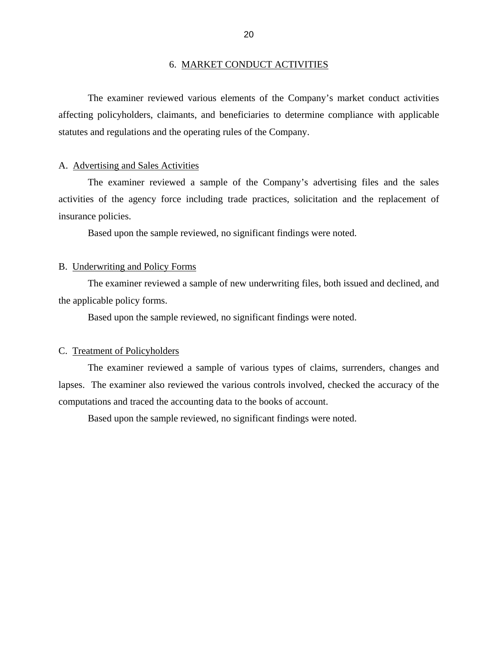#### 6. MARKET CONDUCT ACTIVITIES

<span id="page-22-0"></span>The examiner reviewed various elements of the Company's market conduct activities affecting policyholders, claimants, and beneficiaries to determine compliance with applicable statutes and regulations and the operating rules of the Company.

#### A. Advertising and Sales Activities

The examiner reviewed a sample of the Company's advertising files and the sales activities of the agency force including trade practices, solicitation and the replacement of insurance policies.

Based upon the sample reviewed, no significant findings were noted.

#### B. Underwriting and Policy Forms

The examiner reviewed a sample of new underwriting files, both issued and declined, and the applicable policy forms.

Based upon the sample reviewed, no significant findings were noted.

#### C. Treatment of Policyholders

The examiner reviewed a sample of various types of claims, surrenders, changes and lapses. The examiner also reviewed the various controls involved, checked the accuracy of the computations and traced the accounting data to the books of account.

Based upon the sample reviewed, no significant findings were noted.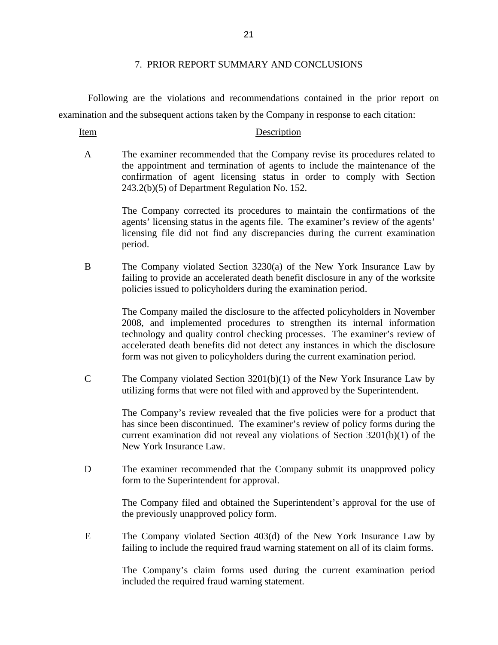#### 7. PRIOR REPORT SUMMARY AND CONCLUSIONS

Following are the violations and recommendations contained in the prior report on examination and the subsequent actions taken by the Company in response to each citation:

#### Item Description

A The examiner recommended that the Company revise its procedures related to the appointment and termination of agents to include the maintenance of the confirmation of agent licensing status in order to comply with Section 243.2(b)(5) of Department Regulation No. 152.

> The Company corrected its procedures to maintain the confirmations of the agents' licensing status in the agents file. The examiner's review of the agents' licensing file did not find any discrepancies during the current examination period.

B The Company violated Section 3230(a) of the New York Insurance Law by failing to provide an accelerated death benefit disclosure in any of the worksite policies issued to policyholders during the examination period.

> The Company mailed the disclosure to the affected policyholders in November 2008, and implemented procedures to strengthen its internal information technology and quality control checking processes. The examiner's review of accelerated death benefits did not detect any instances in which the disclosure form was not given to policyholders during the current examination period.

C The Company violated Section 3201(b)(1) of the New York Insurance Law by utilizing forms that were not filed with and approved by the Superintendent.

> The Company's review revealed that the five policies were for a product that has since been discontinued. The examiner's review of policy forms during the current examination did not reveal any violations of Section 3201(b)(1) of the New York Insurance Law.

D The examiner recommended that the Company submit its unapproved policy form to the Superintendent for approval.

> The Company filed and obtained the Superintendent's approval for the use of the previously unapproved policy form.

E The Company violated Section 403(d) of the New York Insurance Law by failing to include the required fraud warning statement on all of its claim forms.

> The Company's claim forms used during the current examination period included the required fraud warning statement.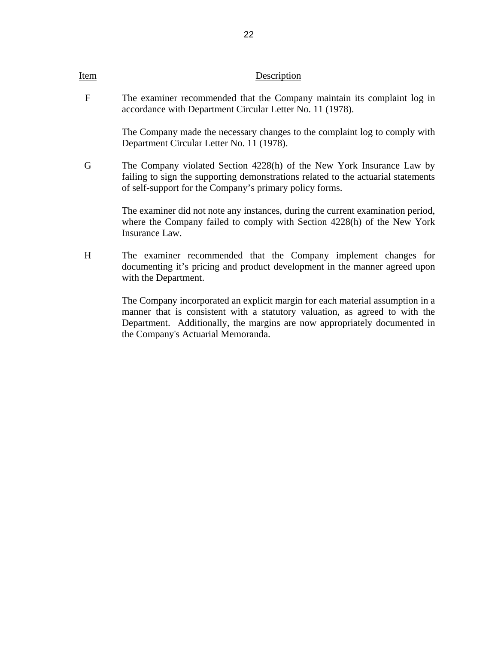#### Item Description

F The examiner recommended that the Company maintain its complaint log in accordance with Department Circular Letter No. 11 (1978).

> The Company made the necessary changes to the complaint log to comply with Department Circular Letter No. 11 (1978).

G The Company violated Section 4228(h) of the New York Insurance Law by failing to sign the supporting demonstrations related to the actuarial statements of self-support for the Company's primary policy forms.

> The examiner did not note any instances, during the current examination period, where the Company failed to comply with Section 4228(h) of the New York Insurance Law.

H The examiner recommended that the Company implement changes for documenting it's pricing and product development in the manner agreed upon with the Department.

> The Company incorporated an explicit margin for each material assumption in a manner that is consistent with a statutory valuation, as agreed to with the Department. Additionally, the margins are now appropriately documented in the Company's Actuarial Memoranda.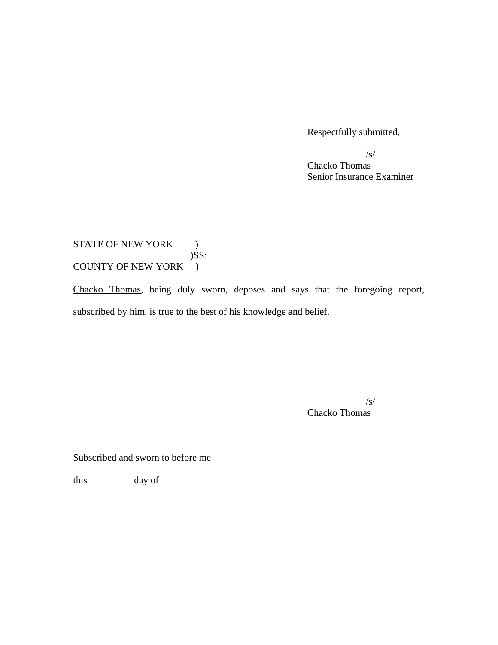Respectfully submitted,

 $\frac{1}{s}$  $\sqrt{s}$ 

**Chacko Thomas** Senior Insurance Examiner

### STATE OF NEW YORK ) )SS: COUNTY OF NEW YORK )

Chacko Thomas, being duly sworn, deposes and says that the foregoing report, subscribed by him, is true to the best of his knowledge and belief.

 $\overline{a}$  $\sqrt{s}$ /s/

 Chacko Thomas

Subscribed and sworn to before me

this day of